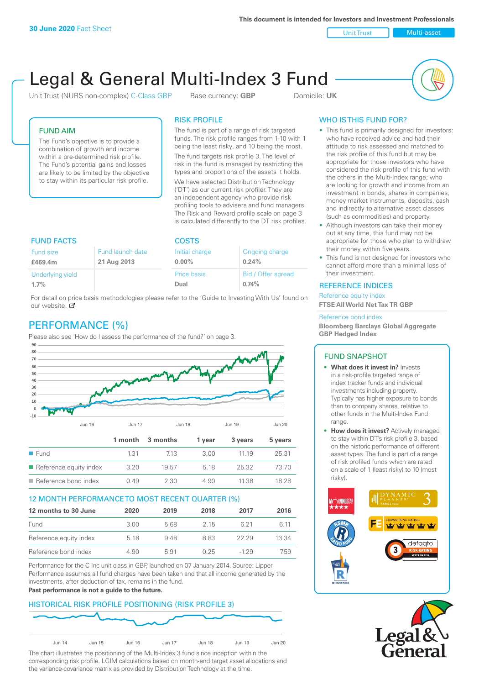Unit Trust Nulti-asset

# Legal & General Multi-Index 3 Fund

Unit Trust (NURS non-complex) C-Class GBP Base currency: **GBP** Domicile: UK



# FUND AIM

The Fund's objective is to provide a combination of growth and income within a pre-determined risk profile. The Fund's potential gains and losses are likely to be limited by the objective to stay within its particular risk profile.

# RISK PROFILE

The fund is part of a range of risk targeted funds. The risk profile ranges from 1-10 with 1 being the least risky, and 10 being the most.

The fund targets risk profile 3. The level of risk in the fund is managed by restricting the types and proportions of the assets it holds. We have selected Distribution Technology ('DT') as our current risk profiler. They are an independent agency who provide risk profiling tools to advisers and fund managers. The Risk and Reward profile scale on page 3 is calculated differently to the DT risk profiles.

| <b>FUND FACTS</b>                                       |  | <b>COSTS</b>               |                             |  |
|---------------------------------------------------------|--|----------------------------|-----------------------------|--|
| Fund launch date<br>Fund size<br>21 Aug 2013<br>£469.4m |  | Initial charge<br>$0.00\%$ | Ongoing charge<br>0.24%     |  |
| Underlying yield<br>1.7%                                |  | <b>Price basis</b><br>Dual | Bid / Offer spread<br>0.74% |  |

For detail on price basis methodologies please refer to the 'Guide to Investing With Us' found on our website. Ø

# PERFORMANCE (%)

Please also see 'How do I assess the performance of the fund?' on page 3.



#### 12 MONTH PERFORMANCE TO MOST RECENT QUARTER (%)

| 12 months to 30 June   | 2020 | 2019 | 2018 | 2017  | 2016  |
|------------------------|------|------|------|-------|-------|
| Fund                   | 3.00 | 5.68 | 2 15 | 6.21  | 6 11  |
| Reference equity index | 5.18 | 948  | 883  | 22.29 | 13.34 |
| Reference bond index   | 4.90 | 5.91 | 0.25 | -1 29 | 7.59  |

Performance for the C Inc unit class in GBP, launched on 07 January 2014. Source: Lipper. Performance assumes all fund charges have been taken and that all income generated by the investments, after deduction of tax, remains in the fund.

#### **Past performance is not a guide to the future.**

# HISTORICAL RISK PROFILE POSITIONING (RISK PROFILE 3)



The chart illustrates the positioning of the Multi-Index 3 fund since inception within the corresponding risk profile. LGIM calculations based on month-end target asset allocations and the variance-covariance matrix as provided by Distribution Technology at the time.

## WHO IS THIS FUND FOR?

- This fund is primarily designed for investors: who have received advice and had their attitude to risk assessed and matched to the risk profile of this fund but may be appropriate for those investors who have considered the risk profile of this fund with the others in the Multi-Index range; who are looking for growth and income from an investment in bonds, shares in companies, money market instruments, deposits, cash and indirectly to alternative asset classes (such as commodities) and property.
- Although investors can take their money out at any time, this fund may not be appropriate for those who plan to withdraw their money within five years.
- This fund is not designed for investors who cannot afford more than a minimal loss of their investment.

## REFERENCE INDICES

Reference equity index **FTSE All World Net Tax TR GBP**

#### Reference bond index

**Bloomberg Barclays Global Aggregate GBP Hedged Index**

#### FUND SNAPSHOT

- **• What does it invest in?** Invests in a risk-profile targeted range of index tracker funds and individual investments including property. Typically has higher exposure to bonds than to company shares, relative to other funds in the Multi-Index Fund range.
- **• How does it invest?** Actively managed to stay within DT's risk profile 3, based on the historic performance of different asset types. The fund is part of a range of risk profiled funds which are rated on a scale of 1 (least risky) to 10 (most risky).



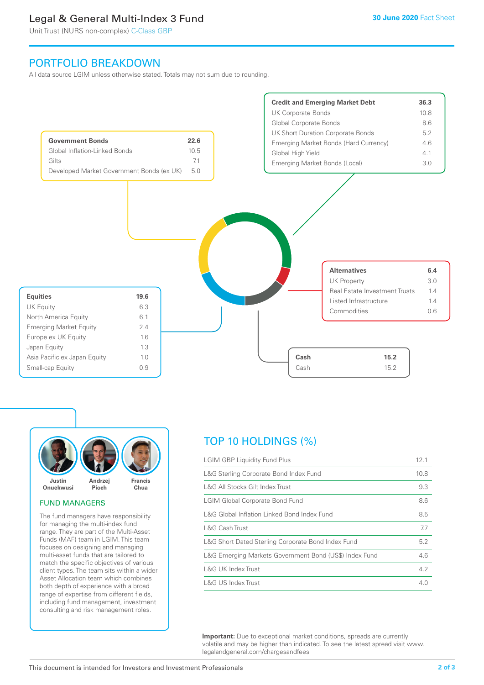# Legal & General Multi-Index 3 Fund

Unit Trust (NURS non-complex) C-Class GBP

# PORTFOLIO BREAKDOWN

All data source LGIM unless otherwise stated. Totals may not sum due to rounding.





#### FUND MANAGERS

The fund managers have responsibility for managing the multi-index fund range. They are part of the Multi-Asset Funds (MAF) team in LGIM. This team focuses on designing and managing multi-asset funds that are tailored to match the specific objectives of various client types. The team sits within a wider Asset Allocation team which combines both depth of experience with a broad range of expertise from different fields, including fund management, investment consulting and risk management roles.

# TOP 10 HOLDINGS (%)

| <b>LGIM GBP Liquidity Fund Plus</b>                    | 12.1 |
|--------------------------------------------------------|------|
| L&G Sterling Corporate Bond Index Fund                 | 10.8 |
| L&G All Stocks Gilt Index Trust                        | 9.3  |
| <b>LGIM Global Corporate Bond Fund</b>                 | 8.6  |
| L&G Global Inflation Linked Bond Index Fund            | 8.5  |
| L&G Cash Trust                                         | 7.7  |
| L&G Short Dated Sterling Corporate Bond Index Fund     | 5.2  |
| L&G Emerging Markets Government Bond (US\$) Index Fund | 4.6  |
| L&G UK Index Trust                                     | 4.2  |
| L&G US Index Trust                                     | 4.0  |

**Important:** Due to exceptional market conditions, spreads are currently volatile and may be higher than indicated. To see the latest spread visit www. legalandgeneral.com/chargesandfees